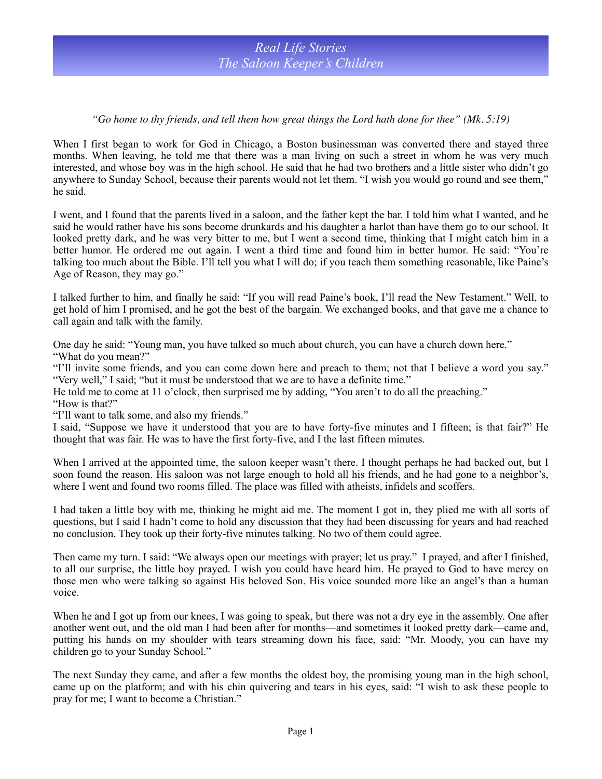## *"Go home to thy friends, and tell them how great things the Lord hath done for thee" (Mk. 5:19)*

When I first began to work for God in Chicago, a Boston businessman was converted there and stayed three months. When leaving, he told me that there was a man living on such a street in whom he was very much interested, and whose boy was in the high school. He said that he had two brothers and a little sister who didn't go anywhere to Sunday School, because their parents would not let them. "I wish you would go round and see them," he said.

I went, and I found that the parents lived in a saloon, and the father kept the bar. I told him what I wanted, and he said he would rather have his sons become drunkards and his daughter a harlot than have them go to our school. It looked pretty dark, and he was very bitter to me, but I went a second time, thinking that I might catch him in a better humor. He ordered me out again. I went a third time and found him in better humor. He said: "You're talking too much about the Bible. I'll tell you what I will do; if you teach them something reasonable, like Paine's Age of Reason, they may go."

I talked further to him, and finally he said: "If you will read Paine's book, I'll read the New Testament." Well, to get hold of him I promised, and he got the best of the bargain. We exchanged books, and that gave me a chance to call again and talk with the family.

One day he said: "Young man, you have talked so much about church, you can have a church down here." "What do you mean?"

"I'll invite some friends, and you can come down here and preach to them; not that I believe a word you say." "Very well," I said; "but it must be understood that we are to have a definite time."

He told me to come at 11 o'clock, then surprised me by adding, "You aren't to do all the preaching."

"How is that?"

"I'll want to talk some, and also my friends."

I said, "Suppose we have it understood that you are to have forty-five minutes and I fifteen; is that fair?" He thought that was fair. He was to have the first forty-five, and I the last fifteen minutes.

When I arrived at the appointed time, the saloon keeper wasn't there. I thought perhaps he had backed out, but I soon found the reason. His saloon was not large enough to hold all his friends, and he had gone to a neighbor's, where I went and found two rooms filled. The place was filled with atheists, infidels and scoffers.

I had taken a little boy with me, thinking he might aid me. The moment I got in, they plied me with all sorts of questions, but I said I hadn't come to hold any discussion that they had been discussing for years and had reached no conclusion. They took up their forty-five minutes talking. No two of them could agree.

Then came my turn. I said: "We always open our meetings with prayer; let us pray." I prayed, and after I finished, to all our surprise, the little boy prayed. I wish you could have heard him. He prayed to God to have mercy on those men who were talking so against His beloved Son. His voice sounded more like an angel's than a human voice.

When he and I got up from our knees, I was going to speak, but there was not a dry eye in the assembly. One after another went out, and the old man I had been after for months—and sometimes it looked pretty dark—came and, putting his hands on my shoulder with tears streaming down his face, said: "Mr. Moody, you can have my children go to your Sunday School."

The next Sunday they came, and after a few months the oldest boy, the promising young man in the high school, came up on the platform; and with his chin quivering and tears in his eyes, said: "I wish to ask these people to pray for me; I want to become a Christian."